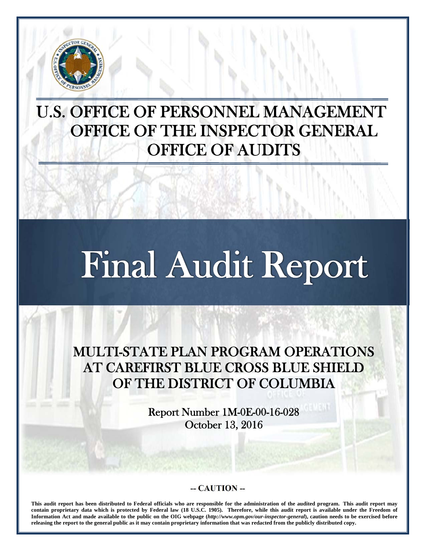

j

## U.S. OFFICE OF PERSONNEL MANAGEMENT OFFICE OF THE INSPECTOR GENERAL OFFICE OF AUDITS

# Final Audit Report

MULTI-STATE PLAN PROGRAM OPERATIONS AT CAREFIRST BLUE CROSS BLUE SHIELD OF THE DISTRICT OF COLUMBIA

> Report Number 1M-0E-00-16-028 October 13, 2016

#### **-- CAUTION --**

**This audit report has been distributed to Federal officials who are responsible for the administration of the audited program. This audit report may contain proprietary data which is protected by Federal law (18 U.S.C. 1905). Therefore, while this audit report is available under the Freedom of Information Act and made available to the public on the OIG webpage (***http://www.opm.gov/our-inspector-general***), caution needs to be exercised before releasing the report to the general public as it may contain proprietary information that was redacted from the publicly distributed copy.**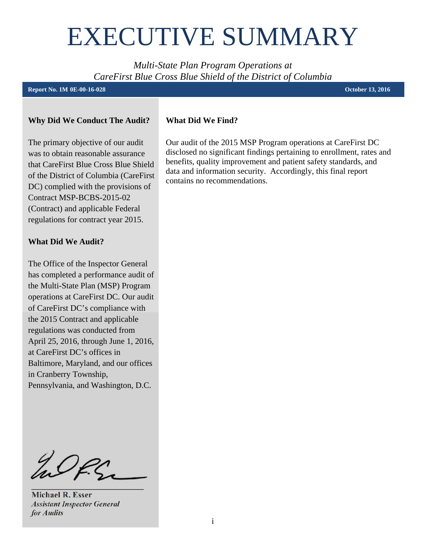## <span id="page-1-0"></span>EXECUTIVE SUMMARY

*Multi-State Plan Program Operations at CareFirst Blue Cross Blue Shield of the District of Columbia* 

#### **- Report No. 1M 0E-00-16-028 October 13, 2016**

#### **Why Did We Conduct The Audit?**

The primary objective of our audit was to obtain reasonable assurance that CareFirst Blue Cross Blue Shield of the District of Columbia (CareFirst DC) complied with the provisions of Contract MSP-BCBS-2015-02 (Contract) and applicable Federal regulations for contract year 2015.

#### **What Did We Audit?**

The Office of the Inspector General has completed a performance audit of the Multi-State Plan (MSP) Program operations at CareFirst DC. Our audit of CareFirst DC's compliance with the 2015 Contract and applicable regulations was conducted from April 25, 2016, through June 1, 2016, at CareFirst DC's offices in Baltimore, Maryland, and our offices in Cranberry Township, Pennsylvania, and Washington, D.C.

WP.S. **\_\_\_\_\_\_\_\_\_\_\_\_\_\_\_\_\_\_\_\_\_\_\_** 

**Michael R. Esser**  *Assistant Inspector General for Audits* 

#### **What Did We Find?**

Our audit of the 2015 MSP Program operations at CareFirst DC disclosed no significant findings pertaining to enrollment, rates and benefits, quality improvement and patient safety standards, and data and information security. Accordingly, this final report contains no recommendations.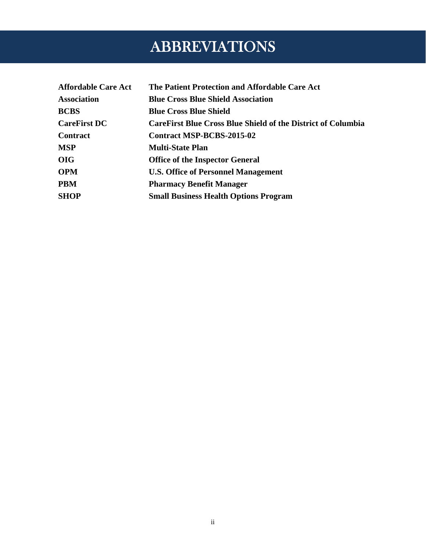## ABBREVIATIONS

<span id="page-2-0"></span>

| <b>Affordable Care Act</b> | The Patient Protection and Affordable Care Act                      |
|----------------------------|---------------------------------------------------------------------|
| <b>Association</b>         | <b>Blue Cross Blue Shield Association</b>                           |
| <b>BCBS</b>                | <b>Blue Cross Blue Shield</b>                                       |
| <b>CareFirst DC</b>        | <b>CareFirst Blue Cross Blue Shield of the District of Columbia</b> |
| <b>Contract</b>            | Contract MSP-BCBS-2015-02                                           |
| <b>MSP</b>                 | <b>Multi-State Plan</b>                                             |
| <b>OIG</b>                 | <b>Office of the Inspector General</b>                              |
| <b>OPM</b>                 | <b>U.S. Office of Personnel Management</b>                          |
| <b>PBM</b>                 | <b>Pharmacy Benefit Manager</b>                                     |
| <b>SHOP</b>                | <b>Small Business Health Options Program</b>                        |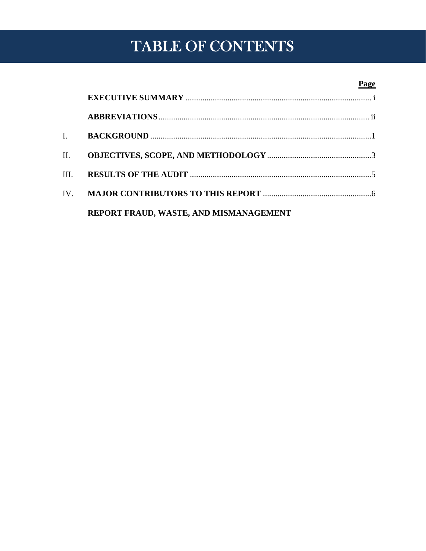## TABLE OF CONTENTS

#### **Page**

| $\mathbf{L}$ and $\mathbf{L}$ |                                        |  |
|-------------------------------|----------------------------------------|--|
| II.                           |                                        |  |
| III.                          |                                        |  |
|                               |                                        |  |
|                               | REPORT FRAUD, WASTE, AND MISMANAGEMENT |  |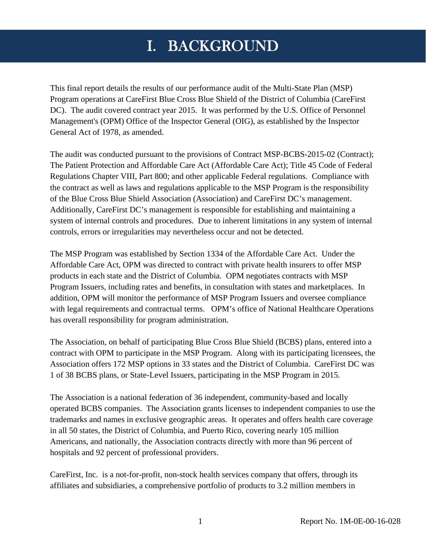## I. BACKGROUND

<span id="page-4-0"></span>This final report details the results of our performance audit of the Multi-State Plan (MSP) Program operations at CareFirst Blue Cross Blue Shield of the District of Columbia (CareFirst DC). The audit covered contract year 2015. It was performed by the U.S. Office of Personnel Management's (OPM) Office of the Inspector General (OIG), as established by the Inspector General Act of 1978, as amended.

The audit was conducted pursuant to the provisions of Contract MSP-BCBS-2015-02 (Contract); The Patient Protection and Affordable Care Act (Affordable Care Act); Title 45 Code of Federal Regulations Chapter VIII, Part 800; and other applicable Federal regulations. Compliance with the contract as well as laws and regulations applicable to the MSP Program is the responsibility of the Blue Cross Blue Shield Association (Association) and CareFirst DC's management. Additionally, CareFirst DC's management is responsible for establishing and maintaining a system of internal controls and procedures. Due to inherent limitations in any system of internal controls, errors or irregularities may nevertheless occur and not be detected.

The MSP Program was established by Section 1334 of the Affordable Care Act. Under the Affordable Care Act, OPM was directed to contract with private health insurers to offer MSP products in each state and the District of Columbia. OPM negotiates contracts with MSP Program Issuers, including rates and benefits, in consultation with states and marketplaces. In addition, OPM will monitor the performance of MSP Program Issuers and oversee compliance with legal requirements and contractual terms. OPM's office of National Healthcare Operations has overall responsibility for program administration.

The Association, on behalf of participating Blue Cross Blue Shield (BCBS) plans, entered into a contract with OPM to participate in the MSP Program. Along with its participating licensees, the Association offers 172 MSP options in 33 states and the District of Columbia. CareFirst DC was 1 of 38 BCBS plans, or State-Level Issuers, participating in the MSP Program in 2015.

The Association is a national federation of 36 independent, community-based and locally operated BCBS companies. The Association grants licenses to independent companies to use the trademarks and names in exclusive geographic areas. It operates and offers health care coverage in all 50 states, the District of Columbia, and Puerto Rico, covering nearly 105 million Americans, and nationally, the Association contracts directly with more than 96 percent of hospitals and 92 percent of professional providers.

CareFirst, Inc. is a not-for-profit, non-stock health services company that offers, through its affiliates and subsidiaries, a comprehensive portfolio of products to 3.2 million members in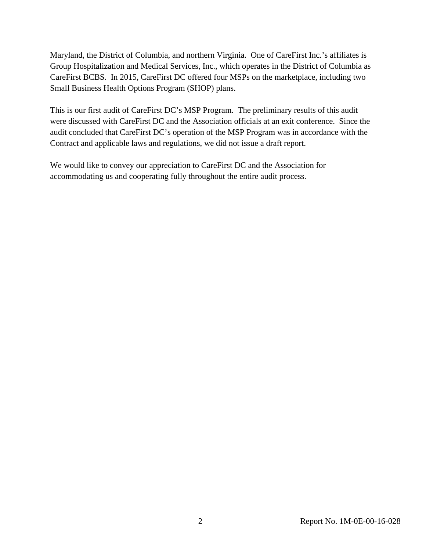Maryland, the District of Columbia, and northern Virginia. One of CareFirst Inc.'s affiliates is Group Hospitalization and Medical Services, Inc., which operates in the District of Columbia as CareFirst BCBS. In 2015, CareFirst DC offered four MSPs on the marketplace, including two Small Business Health Options Program (SHOP) plans.

This is our first audit of CareFirst DC's MSP Program. The preliminary results of this audit were discussed with CareFirst DC and the Association officials at an exit conference. Since the audit concluded that CareFirst DC's operation of the MSP Program was in accordance with the Contract and applicable laws and regulations, we did not issue a draft report.

We would like to convey our appreciation to CareFirst DC and the Association for accommodating us and cooperating fully throughout the entire audit process.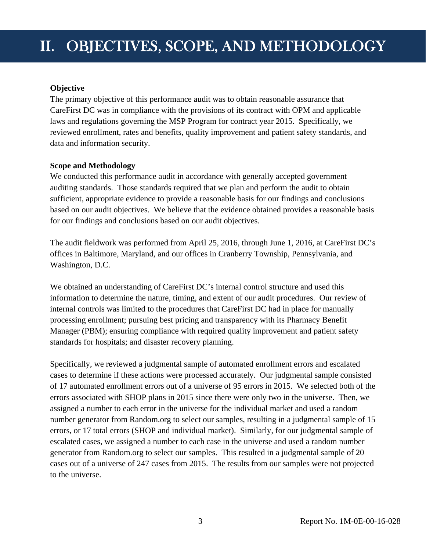## <span id="page-6-0"></span>II. OBJECTIVES, SCOPE, AND METHODOLOGY

#### **Objective**

The primary objective of this performance audit was to obtain reasonable assurance that CareFirst DC was in compliance with the provisions of its contract with OPM and applicable laws and regulations governing the MSP Program for contract year 2015. Specifically, we reviewed enrollment, rates and benefits, quality improvement and patient safety standards, and data and information security.

#### **Scope and Methodology**

We conducted this performance audit in accordance with generally accepted government auditing standards. Those standards required that we plan and perform the audit to obtain sufficient, appropriate evidence to provide a reasonable basis for our findings and conclusions based on our audit objectives. We believe that the evidence obtained provides a reasonable basis for our findings and conclusions based on our audit objectives.

The audit fieldwork was performed from April 25, 2016, through June 1, 2016, at CareFirst DC's offices in Baltimore, Maryland, and our offices in Cranberry Township, Pennsylvania, and Washington, D.C.

We obtained an understanding of CareFirst DC's internal control structure and used this information to determine the nature, timing, and extent of our audit procedures. Our review of internal controls was limited to the procedures that CareFirst DC had in place for manually processing enrollment; pursuing best pricing and transparency with its Pharmacy Benefit Manager (PBM); ensuring compliance with required quality improvement and patient safety standards for hospitals; and disaster recovery planning.

Specifically, we reviewed a judgmental sample of automated enrollment errors and escalated cases to determine if these actions were processed accurately. Our judgmental sample consisted of 17 automated enrollment errors out of a universe of 95 errors in 2015. We selected both of the errors associated with SHOP plans in 2015 since there were only two in the universe. Then, we assigned a number to each error in the universe for the individual market and used a random number generator from Random.org to select our samples, resulting in a judgmental sample of 15 errors, or 17 total errors (SHOP and individual market). Similarly, for our judgmental sample of escalated cases, we assigned a number to each case in the universe and used a random number generator from Random.org to select our samples. This resulted in a judgmental sample of 20 cases out of a universe of 247 cases from 2015. The results from our samples were not projected to the universe.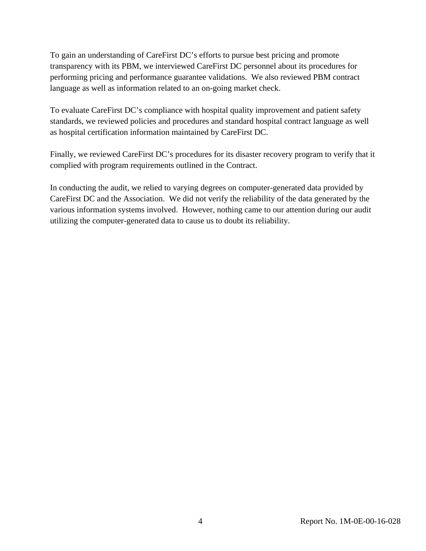To gain an understanding of CareFirst DC's efforts to pursue best pricing and promote transparency with its PBM, we interviewed CareFirst DC personnel about its procedures for performing pricing and performance guarantee validations. We also reviewed PBM contract language as well as information related to an on-going market check.

To evaluate CareFirst DC's compliance with hospital quality improvement and patient safety standards, we reviewed policies and procedures and standard hospital contract language as well as hospital certification information maintained by CareFirst DC.

Finally, we reviewed CareFirst DC's procedures for its disaster recovery program to verify that it complied with program requirements outlined in the Contract.

In conducting the audit, we relied to varying degrees on computer-generated data provided by CareFirst DC and the Association. We did not verify the reliability of the data generated by the various information systems involved. However, nothing came to our attention during our audit utilizing the computer-generated data to cause us to doubt its reliability.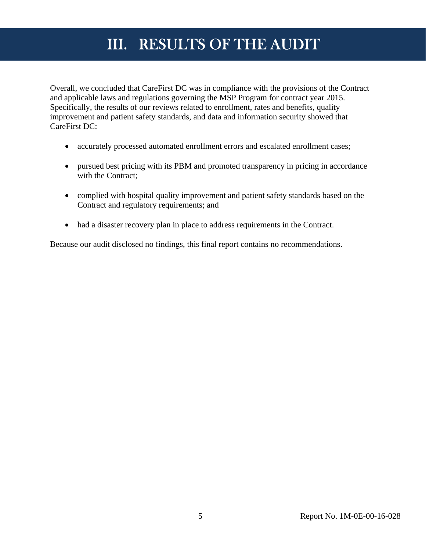## III. RESULTS OF THE AUDIT

<span id="page-8-0"></span>Overall, we concluded that CareFirst DC was in compliance with the provisions of the Contract and applicable laws and regulations governing the MSP Program for contract year 2015. Specifically, the results of our reviews related to enrollment, rates and benefits, quality improvement and patient safety standards, and data and information security showed that CareFirst DC:

- accurately processed automated enrollment errors and escalated enrollment cases;
- pursued best pricing with its PBM and promoted transparency in pricing in accordance with the Contract;
- complied with hospital quality improvement and patient safety standards based on the Contract and regulatory requirements; and
- had a disaster recovery plan in place to address requirements in the Contract.

Because our audit disclosed no findings, this final report contains no recommendations.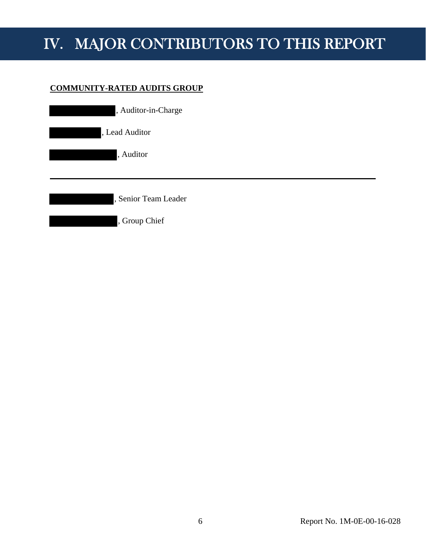## <span id="page-9-0"></span>IV. MAJOR CONTRIBUTORS TO THIS REPORT

#### **COMMUNITY-RATED AUDITS GROUP**

| , Auditor-in-Charge  |  |
|----------------------|--|
| , Lead Auditor       |  |
| , Auditor            |  |
|                      |  |
| , Senior Team Leader |  |
| , Group Chief        |  |